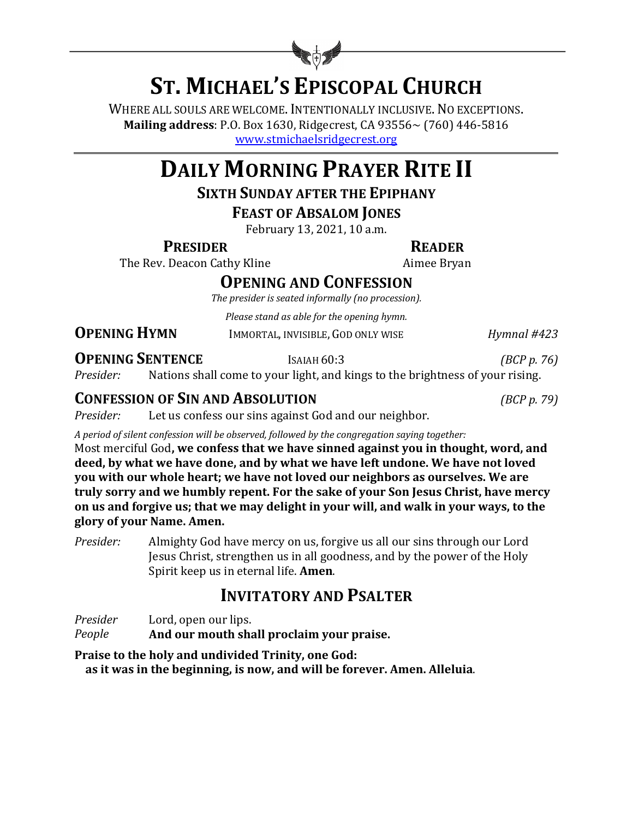

# **ST. MICHAEL'S EPISCOPAL CHURCH**

WHERE ALL SOULS ARE WELCOME. INTENTIONALLY INCLUSIVE. NO EXCEPTIONS. **Mailing address**: P.O. Box 1630, Ridgecrest, CA 93556~ (760) 446-5816 www.stmichaelsridgecrest.org

# **DAILY MORNING PRAYER RITE II**

**SIXTH SUNDAY AFTER THE EPIPHANY** 

FEAST OF ABSALOM **JONES** 

February 13, 2021, 10 a.m.

## **PRESIDER READER**

The Rev. Deacon Cathy Kline **Aimee** Bryan

# **OPENING AND CONFESSION**

*The presider is seated informally (no procession).* 

*Please stand as able for the opening hymn.* 

**OPENING HYMN** IMMORTAL, INVISIBLE, GOD ONLY WISE *Hymnal* #423

### **OPENING SENTENCE** ISAIAH 60:3 *(BCP p. 76)*

*Presider:* Nations shall come to your light, and kings to the brightness of your rising.

## **CONFESSION OF SIN AND ABSOLUTION** *(BCP p. 79)*

*Presider:* Let us confess our sins against God and our neighbor.

*A* period of silent confession will be observed, followed by the congregation saying together:

Most merciful God, we confess that we have sinned against you in thought, word, and deed, by what we have done, and by what we have left undone. We have not loved **you** with our whole heart; we have not loved our neighbors as ourselves. We are truly sorry and we humbly repent. For the sake of your Son Jesus Christ, have mercy on us and forgive us; that we may delight in your will, and walk in your ways, to the **glory of your Name. Amen.**

*Presider:* Almighty God have mercy on us, forgive us all our sins through our Lord Jesus Christ, strengthen us in all goodness, and by the power of the Holy Spirit keep us in eternal life. **Amen**.

# **INVITATORY AND PSALTER**

*Presider* Lord, open our lips.

*People* **And our mouth shall proclaim your praise.** 

### Praise to the holy and undivided Trinity, one God:

 **as it was in the beginning, is now, and will be forever. Amen. Alleluia**.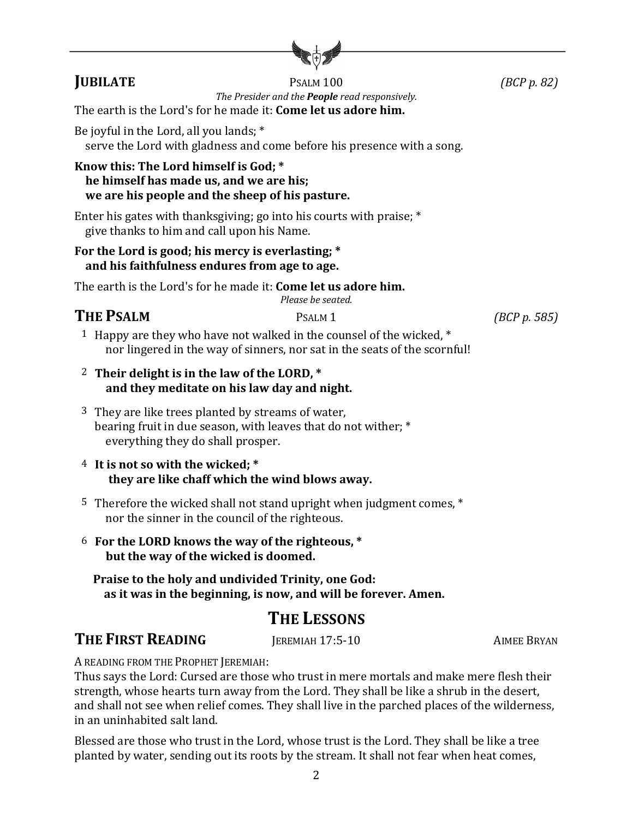

### **JUBILATE** PSALM 100 *(BCP p. 82) The Presider and the People read responsively.*

The earth is the Lord's for he made it: **Come let us adore him.** 

Be joyful in the Lord, all you lands;  $*$ serve the Lord with gladness and come before his presence with a song.

### Know this: The Lord himself is God; \* **he himself has made us, and we are his: we are his people and the sheep of his pasture.**

Enter his gates with thanksgiving; go into his courts with praise;  $*$ give thanks to him and call upon his Name.

### For the Lord is good; his mercy is everlasting; \* and his faithfulness endures from age to age.

The earth is the Lord's for he made it: **Come let us adore him.** 

# *Please be seated.*

**THE PSALM PSALM** PSALM 1 *(BCP p. 585)* 

- 1 Happy are they who have not walked in the counsel of the wicked,  $*$ nor lingered in the way of sinners, nor sat in the seats of the scornful!
- <sup>2</sup> Their delight is in the law of the LORD, \* and they meditate on his law day and night.
- 3 They are like trees planted by streams of water, bearing fruit in due season, with leaves that do not wither;  $*$ everything they do shall prosper.
- <sup>4</sup> It is not so with the wicked; \* they are like chaff which the wind blows away.
- 5 Therefore the wicked shall not stand upright when judgment comes,  $*$ nor the sinner in the council of the righteous.
- 6 For the LORD knows the way of the righteous, \* but the way of the wicked is doomed.

Praise to the holy and undivided Trinity, one God: as it was in the beginning, is now, and will be forever. Amen.

# **THE LESSONS**

# **THE FIRST READING JEREMIAH 17:5-10** AIMEE BRYAN

A READING FROM THE PROPHET JEREMIAH:

Thus says the Lord: Cursed are those who trust in mere mortals and make mere flesh their strength, whose hearts turn away from the Lord. They shall be like a shrub in the desert, and shall not see when relief comes. They shall live in the parched places of the wilderness, in an uninhabited salt land.

Blessed are those who trust in the Lord, whose trust is the Lord. They shall be like a tree planted by water, sending out its roots by the stream. It shall not fear when heat comes,

2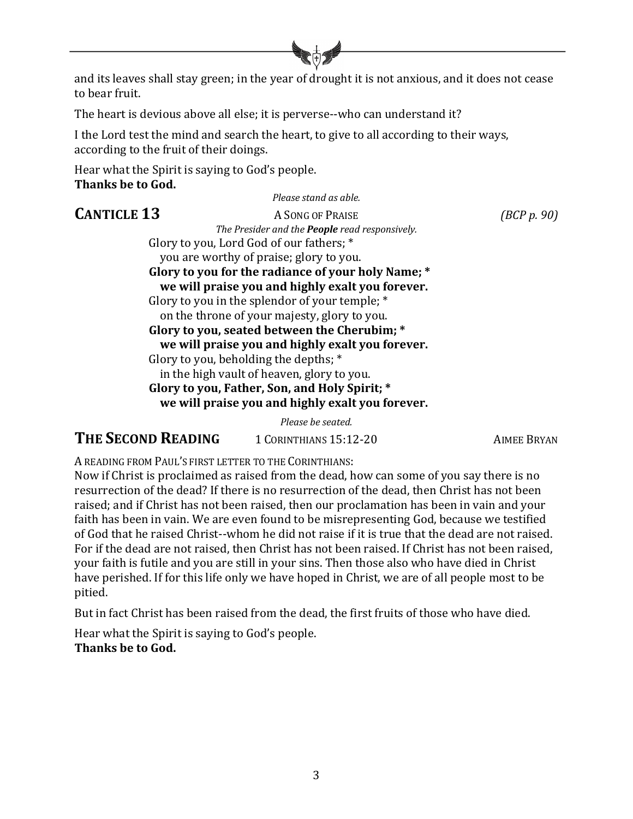and its leaves shall stay green; in the year of drought it is not anxious, and it does not cease to bear fruit.

The heart is devious above all else; it is perverse--who can understand it?

I the Lord test the mind and search the heart, to give to all according to their ways, according to the fruit of their doings.

Hear what the Spirit is saying to God's people. Thanks be to God.

# **CANTICLE 13** A SONG OF PRAISE *(BCP p. 90)*

### *Please stand as able.*

*The Presider and the People read responsively.* 

Glory to you, Lord God of our fathers; \* you are worthy of praise; glory to you. Glory to you for the radiance of your holy Name; \* **we will praise you and highly exalt you forever.** Glory to you in the splendor of your temple;  $*$ on the throne of your majesty, glory to you. Glory to you, seated between the Cherubim; \* **we will praise you and highly exalt you forever.** Glory to you, beholding the depths;  $*$ in the high vault of heaven, glory to you. Glory to you, Father, Son, and Holy Spirit; \* **we will praise you and highly exalt you forever.** 

*Please be seated.*

**THE SECOND READING** 1 CORINTHIANS 15:12-20 AIMEE BRYAN

A READING FROM PAUL'S FIRST LETTER TO THE CORINTHIANS:

Now if Christ is proclaimed as raised from the dead, how can some of you say there is no resurrection of the dead? If there is no resurrection of the dead, then Christ has not been raised; and if Christ has not been raised, then our proclamation has been in vain and your faith has been in vain. We are even found to be misrepresenting God, because we testified of God that he raised Christ--whom he did not raise if it is true that the dead are not raised. For if the dead are not raised, then Christ has not been raised. If Christ has not been raised, your faith is futile and you are still in your sins. Then those also who have died in Christ have perished. If for this life only we have hoped in Christ, we are of all people most to be pitied.

But in fact Christ has been raised from the dead, the first fruits of those who have died.

Hear what the Spirit is saying to God's people. **Thanks be to God.**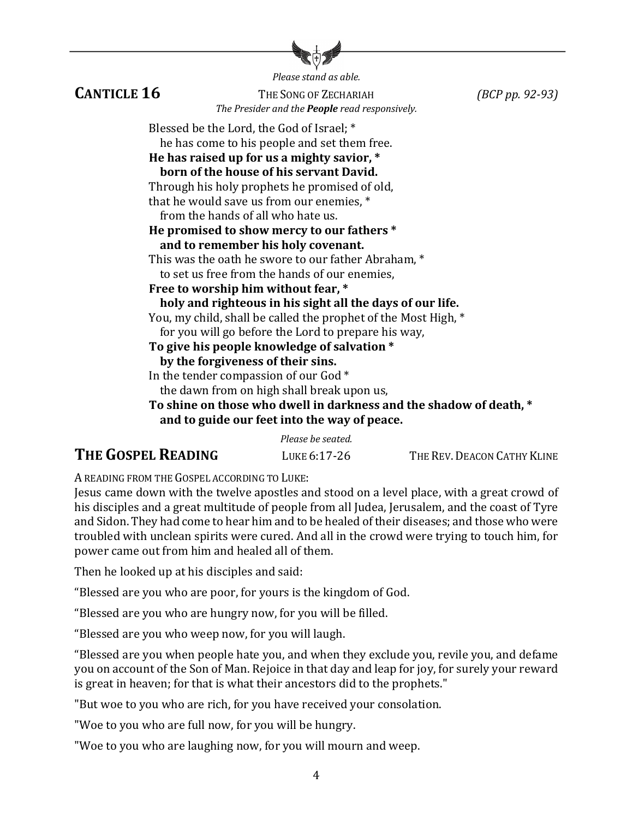

*Please stand as able.*

# **CANTICLE 16** THE SONG OF ZECHARIAH *(BCP pp. 92-93)*

*The Presider and the People read responsively.* Blessed be the Lord, the God of Israel; \* he has come to his people and set them free. He has raised up for us a mighty savior,  $*$ **born of the house of his servant David.** Through his holy prophets he promised of old, that he would save us from our enemies,  $*$ from the hands of all who hate us. He promised to show mercy to our fathers \* and to remember his holy covenant. This was the oath he swore to our father Abraham,  $*$ to set us free from the hands of our enemies, Free to worship him without fear, \* holy and righteous in his sight all the days of our life. You, my child, shall be called the prophet of the Most High, \* for you will go before the Lord to prepare his way, To give his people knowledge of salvation \* by the forgiveness of their sins. In the tender compassion of our God  $*$ the dawn from on high shall break upon us, To shine on those who dwell in darkness and the shadow of death,  $*$ and to guide our feet into the way of peace. *Please be seated.*

**THE GOSPEL READING** LUKE 6:17-26 THE REV. DEACON CATHY KLINE

A READING FROM THE GOSPEL ACCORDING TO LUKE:

Jesus came down with the twelve apostles and stood on a level place, with a great crowd of his disciples and a great multitude of people from all Judea, Jerusalem, and the coast of Tyre and Sidon. They had come to hear him and to be healed of their diseases; and those who were troubled with unclean spirits were cured. And all in the crowd were trying to touch him, for power came out from him and healed all of them.

Then he looked up at his disciples and said:

"Blessed are you who are poor, for yours is the kingdom of God.

"Blessed are you who are hungry now, for you will be filled.

"Blessed are you who weep now, for you will laugh.

"Blessed are you when people hate you, and when they exclude you, revile you, and defame you on account of the Son of Man. Rejoice in that day and leap for joy, for surely your reward is great in heaven; for that is what their ancestors did to the prophets."

"But woe to you who are rich, for you have received your consolation.

"Woe to you who are full now, for you will be hungry.

"Woe to you who are laughing now, for you will mourn and weep.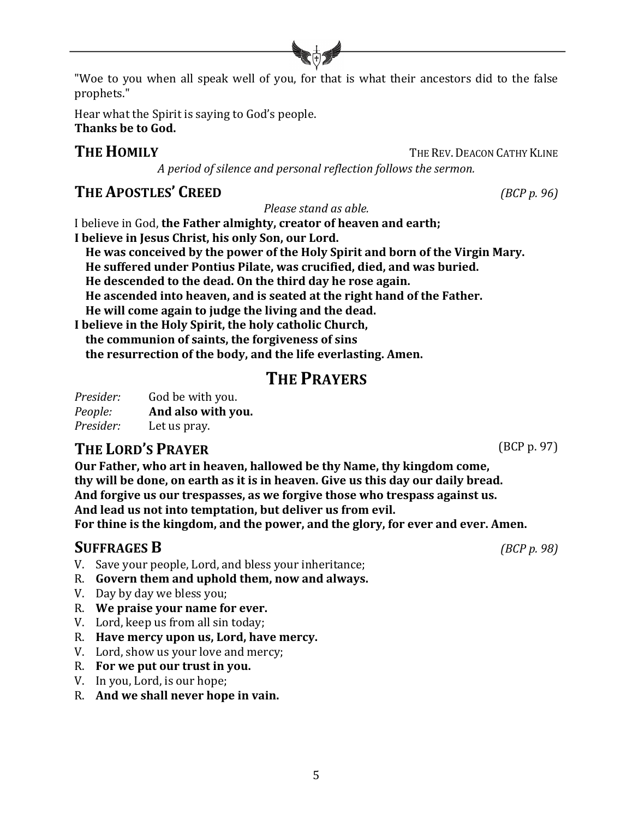"Woe to you when all speak well of you, for that is what their ancestors did to the false prophets."

Hear what the Spirit is saying to God's people. **Thanks be to God.** 

**THE HOMILY** THE REV. DEACON CATHY KLINE

*A period of silence and personal reflection follows the sermon.*

# **THE APOSTLES' CREED** *(BCP p. 96)*

*Please stand as able.* 

I believe in God, the Father almighty, creator of heaven and earth; I believe in Jesus Christ, his only Son, our Lord.

He was conceived by the power of the Holy Spirit and born of the Virgin Mary.

He suffered under Pontius Pilate, was crucified, died, and was buried.

He descended to the dead. On the third day he rose again.

He ascended into heaven, and is seated at the right hand of the Father.

He will come again to judge the living and the dead.

I believe in the Holy Spirit, the holy catholic Church,

 **the communion of saints, the forgiveness of sins**

the resurrection of the body, and the life everlasting. Amen.

# **THE PRAYERS**

| Presider: | God be with you.   |
|-----------|--------------------|
| People:   | And also with you. |
| Presider: | Let us pray.       |

# **THE LORD'S PRAYER** (BCP p. 97)

Our Father, who art in heaven, hallowed be thy Name, thy kingdom come, thy will be done, on earth as it is in heaven. Give us this day our daily bread. And forgive us our trespasses, as we forgive those who trespass against us. And lead us not into temptation, but deliver us from evil. For thine is the kingdom, and the power, and the glory, for ever and ever. Amen.

### **SUFFRAGES B** *(BCP p. 98)*

- V. Save your people, Lord, and bless your inheritance;
- R. Govern them and uphold them, now and always.
- V. Day by day we bless you;
- R. We praise your name for ever.
- V. Lord, keep us from all sin today;
- R. Have mercy upon us, Lord, have mercy.
- V. Lord, show us your love and mercy;
- R. For we put our trust in you.
- V. In you, Lord, is our hope;
- R. And we shall never hope in vain.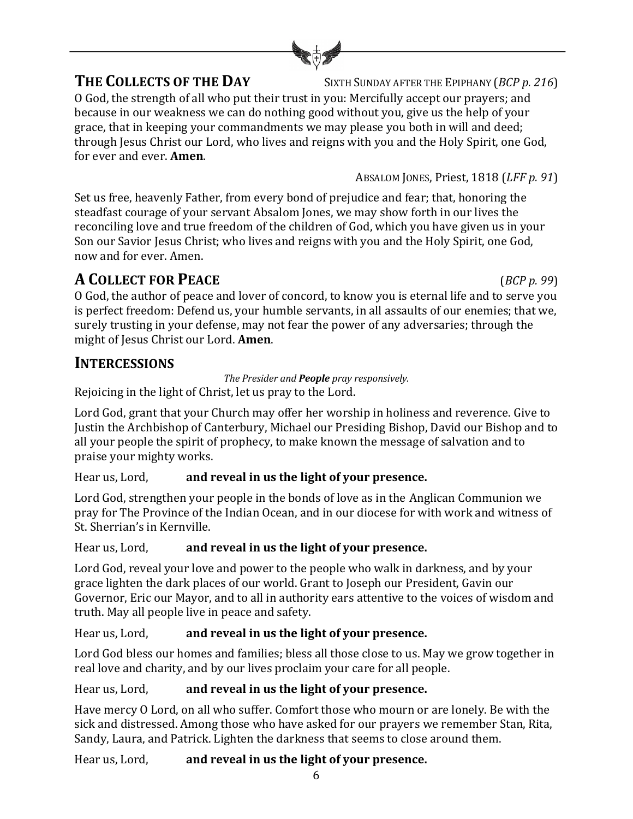O God, the strength of all who put their trust in you: Mercifully accept our prayers; and because in our weakness we can do nothing good without you, give us the help of your grace, that in keeping your commandments we may please you both in will and deed; through Jesus Christ our Lord, who lives and reigns with you and the Holy Spirit, one God, for ever and ever. **Amen**.

Set us free, heavenly Father, from every bond of prejudice and fear; that, honoring the steadfast courage of your servant Absalom Jones, we may show forth in our lives the reconciling love and true freedom of the children of God, which you have given us in your Son our Savior Jesus Christ; who lives and reigns with you and the Holy Spirit, one God, now and for ever. Amen.

# **A COLLECT** FOR **PEACE** (*BCP p.* 99)

O God, the author of peace and lover of concord, to know you is eternal life and to serve you is perfect freedom: Defend us, your humble servants, in all assaults of our enemies; that we, surely trusting in your defense, may not fear the power of any adversaries; through the might of Jesus Christ our Lord. **Amen.** 

## **INTERCESSIONS**

*The Presider and People pray responsively.* 

Rejoicing in the light of Christ, let us pray to the Lord.

Lord God, grant that your Church may offer her worship in holiness and reverence. Give to Justin the Archbishop of Canterbury, Michael our Presiding Bishop, David our Bishop and to all your people the spirit of prophecy, to make known the message of salvation and to praise your mighty works.

Hear us, Lord, **and reveal in us the light of your presence.** 

Lord God, strengthen your people in the bonds of love as in the Anglican Communion we pray for The Province of the Indian Ocean, and in our diocese for with work and witness of St. Sherrian's in Kernville.

### Hear us, Lord, **and reveal in us the light of your presence.**

Lord God, reveal your love and power to the people who walk in darkness, and by your grace lighten the dark places of our world. Grant to Joseph our President, Gavin our Governor, Eric our Mayor, and to all in authority ears attentive to the voices of wisdom and truth. May all people live in peace and safety.

### Hear us, Lord, **and reveal in us the light of your presence.**

Lord God bless our homes and families; bless all those close to us. May we grow together in real love and charity, and by our lives proclaim your care for all people.

### Hear us, Lord, **and reveal in us the light of your presence.**

Have mercy O Lord, on all who suffer. Comfort those who mourn or are lonely. Be with the sick and distressed. Among those who have asked for our prayers we remember Stan, Rita, Sandy, Laura, and Patrick. Lighten the darkness that seems to close around them.

Hear us, Lord, **and reveal in us the light of your presence.** 

**THE COLLECTS OF THE DAY** SIXTH SUNDAY AFTER THE EPIPHANY (*BCP p. 216*)

ABSALOM JONES, Priest, 1818 (LFF p. 91)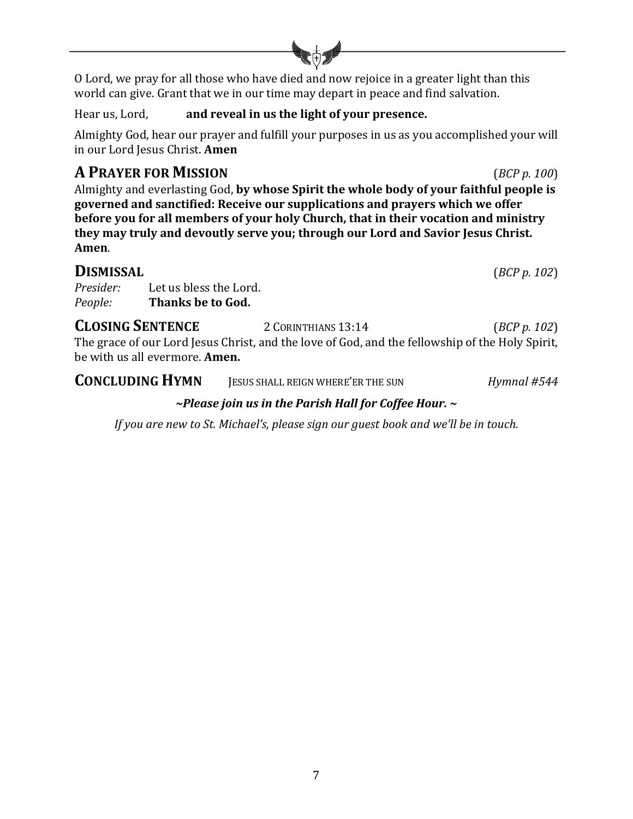O Lord, we pray for all those who have died and now rejoice in a greater light than this world can give. Grant that we in our time may depart in peace and find salvation.

### Hear us, Lord, **and reveal in us the light of your presence.**

Almighty God, hear our prayer and fulfill your purposes in us as you accomplished your will in our Lord Jesus Christ. **Amen**

# **A PRAYER FOR MISSION** (*BCP p.* 100)

Almighty and everlasting God, by whose Spirit the whole body of your faithful people is governed and sanctified: Receive our supplications and prayers which we offer **before you for all members of your holy Church, that in their vocation and ministry** they may truly and devoutly serve you; through our Lord and Savior Jesus Christ. **Amen**.

## **DISMISSAL** (*BCP p.* 102)

*Presider:* Let us bless the Lord. *People:* Thanks be to God.

# **CLOSING SENTENCE** 2 CORINTHIANS 13:14 (*BCP p. 102*)

The grace of our Lord Jesus Christ, and the love of God, and the fellowship of the Holy Spirit, be with us all evermore. **Amen.** 

**CONCLUDING HYMN IESUS SHALL REIGN WHERE'ER THE SUN** *Hymnal #544* 

### ~Please join us in the Parish Hall for Coffee Hour. ~

*If you are new to St. Michael's, please sign our guest book and we'll be in touch.*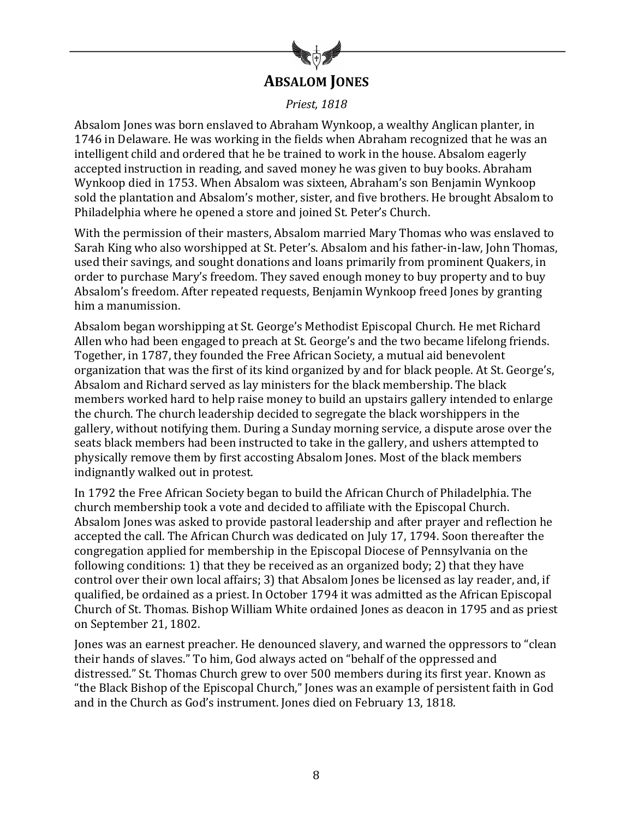

*Priest, 1818*

Absalom Jones was born enslaved to Abraham Wynkoop, a wealthy Anglican planter, in 1746 in Delaware. He was working in the fields when Abraham recognized that he was an intelligent child and ordered that he be trained to work in the house. Absalom eagerly accepted instruction in reading, and saved money he was given to buy books. Abraham Wynkoop died in 1753. When Absalom was sixteen, Abraham's son Benjamin Wynkoop sold the plantation and Absalom's mother, sister, and five brothers. He brought Absalom to Philadelphia where he opened a store and joined St. Peter's Church.

With the permission of their masters, Absalom married Mary Thomas who was enslaved to Sarah King who also worshipped at St. Peter's. Absalom and his father-in-law, John Thomas, used their savings, and sought donations and loans primarily from prominent Quakers, in order to purchase Mary's freedom. They saved enough money to buy property and to buy Absalom's freedom. After repeated requests, Benjamin Wynkoop freed Jones by granting him a manumission.

Absalom began worshipping at St. George's Methodist Episcopal Church. He met Richard Allen who had been engaged to preach at St. George's and the two became lifelong friends. Together, in 1787, they founded the Free African Society, a mutual aid benevolent organization that was the first of its kind organized by and for black people. At St. George's, Absalom and Richard served as lay ministers for the black membership. The black members worked hard to help raise money to build an upstairs gallery intended to enlarge the church. The church leadership decided to segregate the black worshippers in the gallery, without notifying them. During a Sunday morning service, a dispute arose over the seats black members had been instructed to take in the gallery, and ushers attempted to physically remove them by first accosting Absalom Jones. Most of the black members indignantly walked out in protest.

In 1792 the Free African Society began to build the African Church of Philadelphia. The church membership took a vote and decided to affiliate with the Episcopal Church. Absalom Jones was asked to provide pastoral leadership and after prayer and reflection he accepted the call. The African Church was dedicated on July 17, 1794. Soon thereafter the congregation applied for membership in the Episcopal Diocese of Pennsylvania on the following conditions: 1) that they be received as an organized body; 2) that they have control over their own local affairs; 3) that Absalom Jones be licensed as lay reader, and, if qualified, be ordained as a priest. In October 1794 it was admitted as the African Episcopal Church of St. Thomas. Bishop William White ordained Jones as deacon in 1795 and as priest on September 21, 1802.

Jones was an earnest preacher. He denounced slavery, and warned the oppressors to "clean their hands of slaves." To him, God always acted on "behalf of the oppressed and distressed." St. Thomas Church grew to over 500 members during its first year. Known as "the Black Bishop of the Episcopal Church," Jones was an example of persistent faith in God and in the Church as God's instrument. Jones died on February 13, 1818.